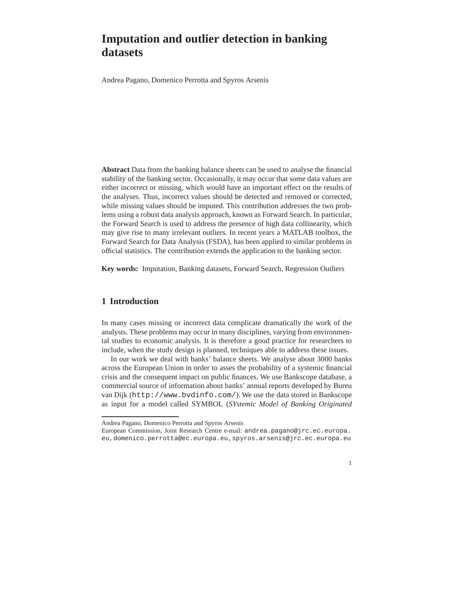# **Imputation and outlier detection in banking datasets**

Andrea Pagano, Domenico Perrotta and Spyros Arsenis

**Abstract** Data from the banking balance sheets can be used to analyse the financial stability of the banking sector. Occasionally, it may occur that some data values are either incorrect or missing, which would have an important effect on the results of the analyses. Thus, incorrect values should be detected and removed or corrected, while missing values should be imputed. This contribution addresses the two problems using a robust data analysis approach, known as Forward Search. In particular, the Forward Search is used to address the presence of high data collinearity, which may give rise to many irrelevant outliers. In recent years a MATLAB toolbox, the Forward Search for Data Analysis (FSDA), has been applied to similar problems in official statistics. The contribution extends the application to the banking sector.

**Key words:** Imputation, Banking datasets, Forward Search, Regression Outliers

# **1 Introduction**

In many cases missing or incorrect data complicate dramatically the work of the analysts. These problems may occur in many disciplines, varying from environmental studies to economic analysis. It is therefore a good practice for researchers to include, when the study design is planned, techniques able to address these issues.

In our work we deal with banks' balance sheets. We analyse about 3000 banks across the European Union in order to asses the probability of a systemic financial crisis and the consequent impact on public finances. We use Bankscope database, a commercial source of information about banks' annual reports developed by Bureu van Dijk (http://www.bvdinfo.com/). We use the data stored in Bankscope as input for a model called SYMBOL (*SYstemic Model of Banking Originated*

European Commission, Joint Research Centre e-mail: andrea.pagano@jrc.ec.europa. eu,domenico.perrotta@ec.europa.eu,spyros.arsenis@jrc.ec.europa.eu



Andrea Pagano, Domenico Perrotta and Spyros Arsenis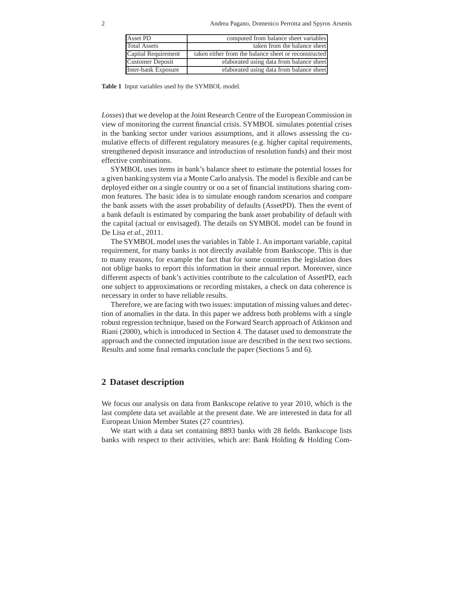| Asset PD            | computed from balance sheet variables                |
|---------------------|------------------------------------------------------|
| <b>Total Assets</b> | taken from the balance sheet                         |
| Capital Requirement | taken either from the balance sheet or reconstructed |
| Customer Deposit    | elaborated using data from balance sheet             |
| Inter-bank Exposure | elaborated using data from balance sheet             |

**Table 1** Input variables used by the SYMBOL model.

Losses) that we develop at the Joint Research Centre of the European Commission in view of monitoring the current financial crisis. SYMBOL simulates potential crises in the banking sector under various assumptions, and it allows assessing the cumulative effects of different regulatory measures (e.g. higher capital requirements, strengthened deposit insurance and introduction of resolution funds) and their most effective combinations.

SYMBOL uses items in bank's balance sheet to estimate the potential losses for a given banking system via a Monte Carlo analysis. The model is flexible and can be deployed either on a single country or on a set of financial institutions sharing common features. The basic idea is to simulate enough random scenarios and compare the bank assets with the asset probability of defaults (AssetPD). Then the event of a bank default is estimated by comparing the bank asset probability of default with the capital (actual or envisaged). The details on SYMBOL model can be found in De Lisa *et al.*, 2011.

The SYMBOL model uses the variables in Table 1. An important variable, capital requirement, for many banks is not directly available from Bankscope. This is due to many reasons, for example the fact that for some countries the legislation does not oblige banks to report this information in their annual report. Moreover, since different aspects of bank's activities contribute to the calculation of AssetPD, each one subject to approximations or recording mistakes, a check on data coherence is necessary in order to have reliable results.

Therefore, we are facing with two issues: imputation of missing values and detection of anomalies in the data. In this paper we address both problems with a single robust regression technique, based on the Forward Search approach of Atkinson and Riani (2000), which is introduced in Section 4. The dataset used to demonstrate the approach and the connected imputation issue are described in the next two sections. Results and some final remarks conclude the paper (Sections 5 and 6).

## **2 Dataset description**

We focus our analysis on data from Bankscope relative to year 2010, which is the last complete data set available at the present date. We are interested in data for all European Union Member States (27 countries).

We start with a data set containing 8893 banks with 28 fields. Bankscope lists banks with respect to their activities, which are: Bank Holding & Holding Com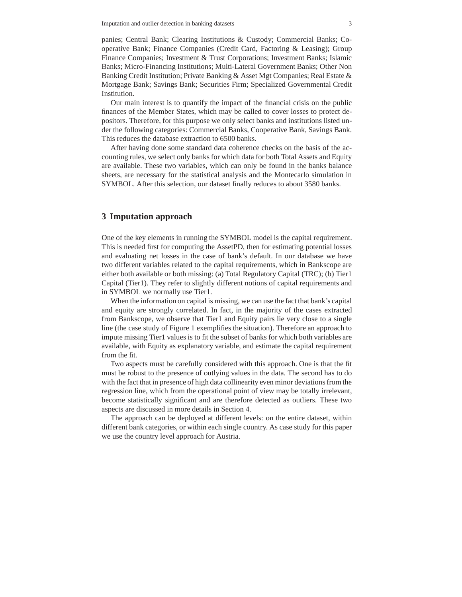panies; Central Bank; Clearing Institutions & Custody; Commercial Banks; Cooperative Bank; Finance Companies (Credit Card, Factoring & Leasing); Group Finance Companies; Investment & Trust Corporations; Investment Banks; Islamic Banks; Micro-Financing Institutions; Multi-Lateral Government Banks; Other Non Banking Credit Institution; Private Banking & Asset Mgt Companies; Real Estate & Mortgage Bank; Savings Bank; Securities Firm; Specialized Governmental Credit Institution.

Our main interest is to quantify the impact of the financial crisis on the public finances of the Member States, which may be called to cover losses to protect depositors. Therefore, for this purpose we only select banks and institutions listed under the following categories: Commercial Banks, Cooperative Bank, Savings Bank. This reduces the database extraction to 6500 banks.

After having done some standard data coherence checks on the basis of the accounting rules, we select only banks for which data for both Total Assets and Equity are available. These two variables, which can only be found in the banks balance sheets, are necessary for the statistical analysis and the Montecarlo simulation in SYMBOL. After this selection, our dataset finally reduces to about 3580 banks.

#### **3 Imputation approach**

One of the key elements in running the SYMBOL model is the capital requirement. This is needed first for computing the AssetPD, then for estimating potential losses and evaluating net losses in the case of bank's default. In our database we have two different variables related to the capital requirements, which in Bankscope are either both available or both missing: (a) Total Regulatory Capital (TRC); (b) Tier1 Capital (Tier1). They refer to slightly different notions of capital requirements and in SYMBOL we normally use Tier1.

When the information on capital is missing, we can use the fact that bank's capital and equity are strongly correlated. In fact, in the majority of the cases extracted from Bankscope, we observe that Tier1 and Equity pairs lie very close to a single line (the case study of Figure 1 exemplifies the situation). Therefore an approach to impute missing Tier1 values is to fit the subset of banks for which both variables are available, with Equity as explanatory variable, and estimate the capital requirement from the fit.

Two aspects must be carefully considered with this approach. One is that the fit must be robust to the presence of outlying values in the data. The second has to do with the fact that in presence of high data collinearity even minor deviations from the regression line, which from the operational point of view may be totally irrelevant, become statistically significant and are therefore detected as outliers. These two aspects are discussed in more details in Section 4.

The approach can be deployed at different levels: on the entire dataset, within different bank categories, or within each single country. As case study for this paper we use the country level approach for Austria.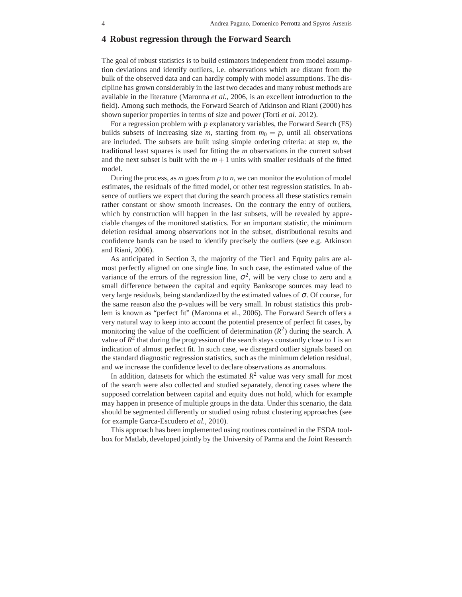## **4 Robust regression through the Forward Search**

The goal of robust statistics is to build estimators independent from model assumption deviations and identify outliers, i.e. observations which are distant from the bulk of the observed data and can hardly comply with model assumptions. The discipline has grown considerably in the last two decades and many robust methods are available in the literature (Maronna *et al.*, 2006, is an excellent introduction to the field). Among such methods, the Forward Search of Atkinson and Riani (2000) has shown superior properties in terms of size and power (Torti *et al.* 2012).

For a regression problem with *p* explanatory variables, the Forward Search (FS) builds subsets of increasing size *m*, starting from  $m_0 = p$ , until all observations are included. The subsets are built using simple ordering criteria: at step *m*, the traditional least squares is used for fitting the *m* observations in the current subset and the next subset is built with the  $m+1$  units with smaller residuals of the fitted model.

During the process, as *m* goes from *p* to *n*, we can monitor the evolution of model estimates, the residuals of the fitted model, or other test regression statistics. In absence of outliers we expect that during the search process all these statistics remain rather constant or show smooth increases. On the contrary the entry of outliers, which by construction will happen in the last subsets, will be revealed by appreciable changes of the monitored statistics. For an important statistic, the minimum deletion residual among observations not in the subset, distributional results and confidence bands can be used to identify precisely the outliers (see e.g. Atkinson and Riani, 2006).

As anticipated in Section 3, the majority of the Tier1 and Equity pairs are almost perfectly aligned on one single line. In such case, the estimated value of the variance of the errors of the regression line,  $\sigma^2$ , will be very close to zero and a small difference between the capital and equity Bankscope sources may lead to very large residuals, being standardized by the estimated values of  $\sigma$ . Of course, for the same reason also the *p*-values will be very small. In robust statistics this problem is known as "perfect fit" (Maronna et al., 2006). The Forward Search offers a very natural way to keep into account the potential presence of perfect fit cases, by monitoring the value of the coefficient of determination  $(R^2)$  during the search. A value of  $R^2$  that during the progression of the search stays constantly close to 1 is an indication of almost perfect fit. In such case, we disregard outlier signals based on the standard diagnostic regression statistics, such as the minimum deletion residual, and we increase the confidence level to declare observations as anomalous.

In addition, datasets for which the estimated  $R^2$  value was very small for most of the search were also collected and studied separately, denoting cases where the supposed correlation between capital and equity does not hold, which for example may happen in presence of multiple groups in the data. Under this scenario, the data should be segmented differently or studied using robust clustering approaches (see for example Garca-Escudero *et al.*, 2010).

This approach has been implemented using routines contained in the FSDA toolbox for Matlab, developed jointly by the University of Parma and the Joint Research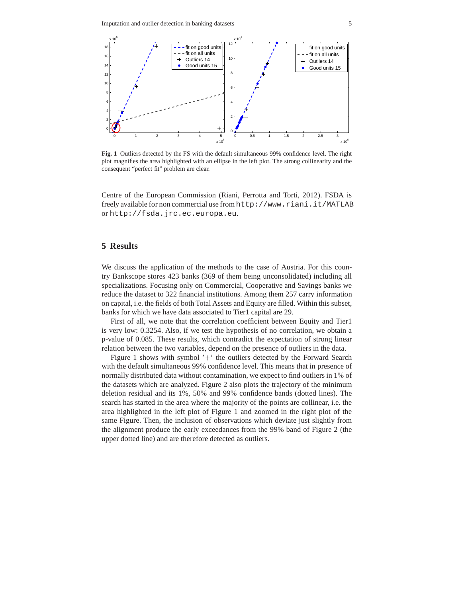

**Fig. 1** Outliers detected by the FS with the default simultaneous 99% confidence level. The right plot magnifies the area highlighted with an ellipse in the left plot. The strong collinearity and the consequent "perfect fit" problem are clear.

Centre of the European Commission (Riani, Perrotta and Torti, 2012). FSDA is freely available for non commercial use from http://www.riani.it/MATLAB or http://fsda.jrc.ec.europa.eu.

## **5 Results**

We discuss the application of the methods to the case of Austria. For this country Bankscope stores 423 banks (369 of them being unconsolidated) including all specializations. Focusing only on Commercial, Cooperative and Savings banks we reduce the dataset to 322 financial institutions. Among them 257 carry information on capital, i.e. the fields of both Total Assets and Equity are filled. Within this subset, banks for which we have data associated to Tier1 capital are 29.

First of all, we note that the correlation coefficient between Equity and Tier1 is very low: 0.3254. Also, if we test the hypothesis of no correlation, we obtain a p-value of 0.085. These results, which contradict the expectation of strong linear relation between the two variables, depend on the presence of outliers in the data.

Figure 1 shows with symbol  $'$ +' the outliers detected by the Forward Search with the default simultaneous 99% confidence level. This means that in presence of normally distributed data without contamination, we expect to find outliers in 1% of the datasets which are analyzed. Figure 2 also plots the trajectory of the minimum deletion residual and its 1%, 50% and 99% confidence bands (dotted lines). The search has started in the area where the majority of the points are collinear, i.e. the area highlighted in the left plot of Figure 1 and zoomed in the right plot of the same Figure. Then, the inclusion of observations which deviate just slightly from the alignment produce the early exceedances from the 99% band of Figure 2 (the upper dotted line) and are therefore detected as outliers.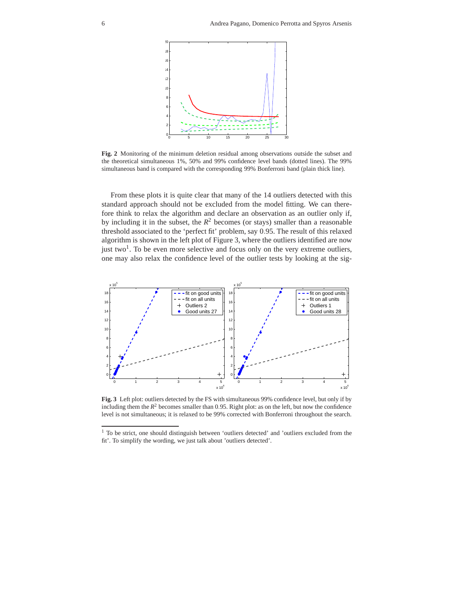

**Fig. 2** Monitoring of the minimum deletion residual among observations outside the subset and the theoretical simultaneous 1%, 50% and 99% confidence level bands (dotted lines). The 99% simultaneous band is compared with the corresponding 99% Bonferroni band (plain thick line).

From these plots it is quite clear that many of the 14 outliers detected with this standard approach should not be excluded from the model fitting. We can therefore think to relax the algorithm and declare an observation as an outlier only if, by including it in the subset, the  $R^2$  becomes (or stays) smaller than a reasonable threshold associated to the 'perfect fit' problem, say 0.95. The result of this relaxed algorithm is shown in the left plot of Figure 3, where the outliers identified are now just two<sup>1</sup>. To be even more selective and focus only on the very extreme outliers, one may also relax the confidence level of the outlier tests by looking at the sig-



**Fig. 3** Left plot: outliers detected by the FS with simultaneous 99% confidence level, but only if by including them the  $R^2$  becomes smaller than 0.95. Right plot: as on the left, but now the confidence level is not simultaneous; it is relaxed to be 99% corrected with Bonferroni throughout the search.

<sup>&</sup>lt;sup>1</sup> To be strict, one should distinguish between 'outliers detected' and 'outliers excluded from the fit'. To simplify the wording, we just talk about 'outliers detected'.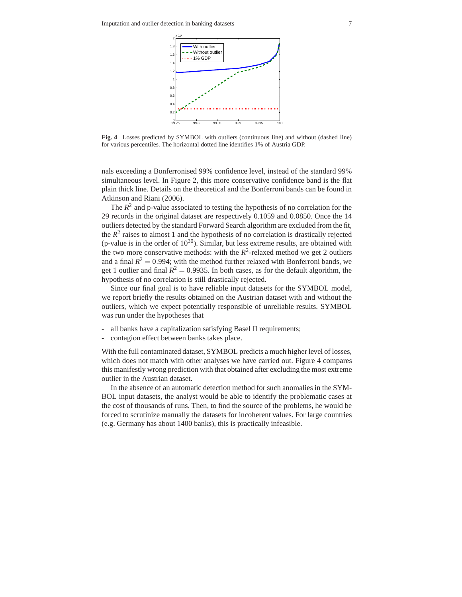

**Fig. 4** Losses predicted by SYMBOL with outliers (continuous line) and without (dashed line) for various percentiles. The horizontal dotted line identifies 1% of Austria GDP.

nals exceeding a Bonferronised 99% confidence level, instead of the standard 99% simultaneous level. In Figure 2, this more conservative confidence band is the flat plain thick line. Details on the theoretical and the Bonferroni bands can be found in Atkinson and Riani (2006).

The  $R<sup>2</sup>$  and p-value associated to testing the hypothesis of no correlation for the 29 records in the original dataset are respectively 0.1059 and 0.0850. Once the 14 outliers detected by the standard Forward Search algorithm are excluded from the fit, the  $R<sup>2</sup>$  raises to almost 1 and the hypothesis of no correlation is drastically rejected (p-value is in the order of  $10^{30}$ ). Similar, but less extreme results, are obtained with the two more conservative methods: with the  $R^2$ -relaxed method we get 2 outliers and a final  $R^2 = 0.994$ ; with the method further relaxed with Bonferroni bands, we get 1 outlier and final  $R^2 = 0.9935$ . In both cases, as for the default algorithm, the hypothesis of no correlation is still drastically rejected.

Since our final goal is to have reliable input datasets for the SYMBOL model, we report briefly the results obtained on the Austrian dataset with and without the outliers, which we expect potentially responsible of unreliable results. SYMBOL was run under the hypotheses that

- all banks have a capitalization satisfying Basel II requirements;
- contagion effect between banks takes place.

With the full contaminated dataset, SYMBOL predicts a much higher level of losses, which does not match with other analyses we have carried out. Figure 4 compares this manifestly wrong prediction with that obtained after excluding the most extreme outlier in the Austrian dataset.

In the absence of an automatic detection method for such anomalies in the SYM-BOL input datasets, the analyst would be able to identify the problematic cases at the cost of thousands of runs. Then, to find the source of the problems, he would be forced to scrutinize manually the datasets for incoherent values. For large countries (e.g. Germany has about 1400 banks), this is practically infeasible.